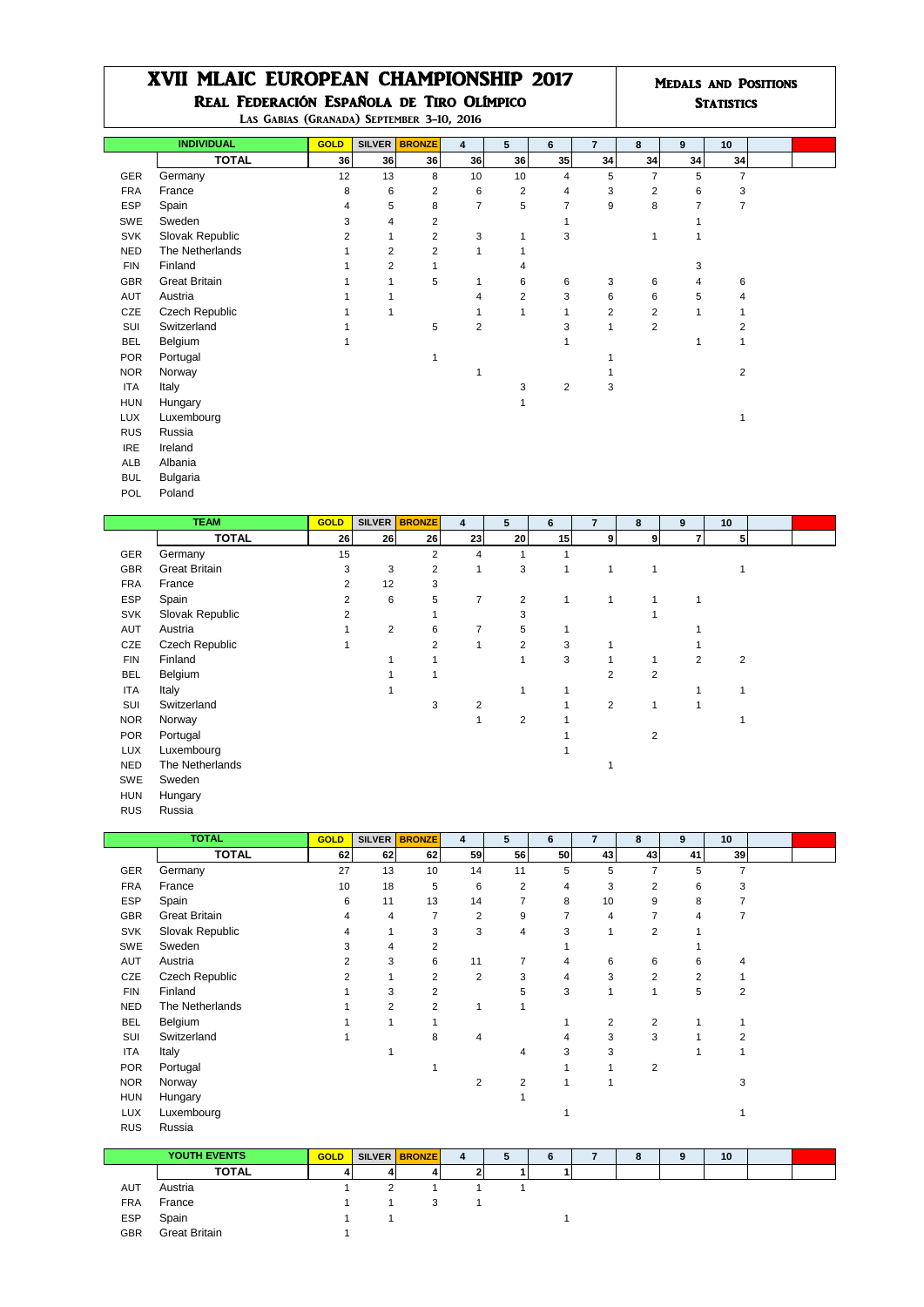## XVII MLAIC EUROPEAN CHAMPIONSHIP 2017 Medals and Positions Real Federación Española de Tiro Olímpico **Statistics** Statistics

|                                           |  | ________ |
|-------------------------------------------|--|----------|
| LAS GABIAS (GRANADA) SEPTEMBER 3-10, 2016 |  |          |

| LAS GABIAS (GRANADA) SEPTEMBER 3-10, 2016 |                      |             |                |                         |                |                         |                |                |                         |                |                |  |
|-------------------------------------------|----------------------|-------------|----------------|-------------------------|----------------|-------------------------|----------------|----------------|-------------------------|----------------|----------------|--|
|                                           | <b>INDIVIDUAL</b>    | <b>GOLD</b> |                | SILVER BRONZE           | $\overline{4}$ | 5                       | 6              | $\overline{7}$ | 8                       | 9              | 10             |  |
|                                           | <b>TOTAL</b>         | 36          | 36             | 36                      | 36             | 36                      | 35             | 34             | 34                      | 34             | 34             |  |
| GER                                       | Germany              | 12          | 13             | 8                       | 10             | 10                      | $\overline{4}$ | 5              | $\overline{7}$          | 5              | $\overline{7}$ |  |
| <b>FRA</b>                                | France               | 8           | 6              | $\overline{\mathbf{c}}$ | 6              | $\overline{\mathbf{c}}$ | $\overline{4}$ | 3              | $\overline{\mathbf{c}}$ | 6              | 3              |  |
| <b>ESP</b>                                | Spain                | 4           | 5              | 8                       | $\overline{7}$ | 5                       | $\overline{7}$ | 9              | 8                       | $\overline{7}$ | 7              |  |
| SWE                                       | Sweden               | 3           | 4              | $\overline{\mathbf{c}}$ |                |                         |                |                |                         |                |                |  |
| <b>SVK</b>                                | Slovak Republic      | 2           | 1              | $\overline{c}$          | 3              | 1                       | 3              |                | 1                       | 1              |                |  |
| <b>NED</b>                                | The Netherlands      |             | $\overline{2}$ | $\overline{2}$          | 1              |                         |                |                |                         |                |                |  |
| <b>FIN</b>                                | Finland              |             | $\overline{2}$ |                         |                | 4                       |                |                |                         | 3              |                |  |
| <b>GBR</b>                                | <b>Great Britain</b> |             |                | 5                       | $\mathbf{1}$   | 6                       | 6              | 3              | 6                       | 4              | 6              |  |
| AUT                                       | Austria              |             |                |                         | 4              | $\overline{2}$          | 3              | 6              | 6                       | 5              | 4              |  |
| CZE                                       | Czech Republic       |             |                |                         |                | 1                       | $\mathbf{1}$   | $\overline{2}$ | $\overline{\mathbf{c}}$ | 1              |                |  |
| SUI                                       | Switzerland          |             |                | 5                       | $\overline{c}$ |                         | 3              | 1              | $\overline{2}$          |                | 2              |  |
| <b>BEL</b>                                | Belgium              |             |                |                         |                |                         |                |                |                         | 1              |                |  |
| <b>POR</b>                                | Portugal             |             |                | 1                       |                |                         |                |                |                         |                |                |  |
| <b>NOR</b>                                | Norway               |             |                |                         |                |                         |                |                |                         |                | 2              |  |
| <b>ITA</b>                                | Italy                |             |                |                         |                | 3                       | $\overline{2}$ | 3              |                         |                |                |  |
| <b>HUN</b>                                | Hungary              |             |                |                         |                |                         |                |                |                         |                |                |  |
| <b>LUX</b>                                | Luxembourg           |             |                |                         |                |                         |                |                |                         |                |                |  |
| <b>RUS</b>                                | Russia               |             |                |                         |                |                         |                |                |                         |                |                |  |
| <b>IRE</b>                                | Ireland              |             |                |                         |                |                         |                |                |                         |                |                |  |
| ALB                                       | Albania              |             |                |                         |                |                         |                |                |                         |                |                |  |
| <b>BUL</b>                                | <b>Bulgaria</b>      |             |                |                         |                |                         |                |                |                         |                |                |  |

| ____ | POL Poland<br>. |  |  |  |
|------|-----------------|--|--|--|
|      |                 |  |  |  |

|            | <b>TEAM</b>          | <b>GOLD</b>    |                 | SILVER BRONZE  | 4              | 5                       | 6  | $\overline{7}$ | 8              | 9 | 10             |  |
|------------|----------------------|----------------|-----------------|----------------|----------------|-------------------------|----|----------------|----------------|---|----------------|--|
|            | <b>TOTAL</b>         | 26             | 26 <sub>1</sub> | 26             | 23             | 20                      | 15 | 9 <sub>l</sub> | 9              | 7 | 5              |  |
| GER        | Germany              | 15             |                 | $\overline{2}$ | 4              |                         |    |                |                |   |                |  |
| <b>GBR</b> | <b>Great Britain</b> | 3              | 3               | 2              |                | 3                       |    | 1              | 1              |   |                |  |
| <b>FRA</b> | France               | $\overline{2}$ | 12              | 3              |                |                         |    |                |                |   |                |  |
| <b>ESP</b> | Spain                | $\overline{2}$ | 6               | 5              | 7              | $\overline{2}$          |    | 1              |                |   |                |  |
| <b>SVK</b> | Slovak Republic      | 2              |                 |                |                | 3                       |    |                |                |   |                |  |
| AUT        | Austria              |                | $\overline{2}$  | 6              | 7              | 5                       |    |                |                |   |                |  |
| CZE        | Czech Republic       |                |                 | $\overline{2}$ | 1              | 2                       | 3  |                |                |   |                |  |
| <b>FIN</b> | Finland              |                |                 |                |                |                         | 3  |                | $\mathbf{1}$   | 2 | $\overline{2}$ |  |
| <b>BEL</b> | Belgium              |                |                 |                |                |                         |    | 2              | $\overline{c}$ |   |                |  |
| ITA        | Italy                |                |                 |                |                |                         |    |                |                |   |                |  |
| SUI        | Switzerland          |                |                 | 3              | $\overline{2}$ |                         |    | $\overline{2}$ | 1              | 1 |                |  |
| <b>NOR</b> | Norway               |                |                 |                |                | $\overline{\mathbf{c}}$ |    |                |                |   |                |  |
| <b>POR</b> | Portugal             |                |                 |                |                |                         |    |                | $\overline{2}$ |   |                |  |
| <b>LUX</b> | Luxembourg           |                |                 |                |                |                         |    |                |                |   |                |  |
| <b>NED</b> | The Netherlands      |                |                 |                |                |                         |    |                |                |   |                |  |
| SWE        | Sweden               |                |                 |                |                |                         |    |                |                |   |                |  |
| <b>HUN</b> | Hungary              |                |                 |                |                |                         |    |                |                |   |                |  |
| <b>RUS</b> | Russia               |                |                 |                |                |                         |    |                |                |   |                |  |

|            | <b>TOTAL</b>         | <b>GOLD</b> |    | SILVER BRONZE  | 4  | 5              | 6  | $\overline{7}$ | 8              | 9  | 10 |  |
|------------|----------------------|-------------|----|----------------|----|----------------|----|----------------|----------------|----|----|--|
|            | <b>TOTAL</b>         | 62          | 62 | 62             | 59 | 56             | 50 | 43             | 43             | 41 | 39 |  |
| <b>GER</b> | Germany              | 27          | 13 | 10             | 14 | 11             | 5  | 5              | $\overline{7}$ | 5  | 7  |  |
| <b>FRA</b> | France               | 10          | 18 | 5              | 6  | $\overline{2}$ | 4  | 3              | 2              | 6  | 3  |  |
| <b>ESP</b> | Spain                | 6           | 11 | 13             | 14 | 7              | 8  | 10             | 9              | 8  | 7  |  |
| <b>GBR</b> | <b>Great Britain</b> | 4           | 4  | 7              | 2  | 9              | 7  | 4              | 7              | 4  | 7  |  |
| <b>SVK</b> | Slovak Republic      | 4           |    | 3              | 3  | 4              | 3  | 1              | 2              |    |    |  |
| SWE        | Sweden               | 3           | 4  | $\overline{2}$ |    |                |    |                |                |    |    |  |
| <b>AUT</b> | Austria              | 2           | 3  | 6              | 11 | 7              | 4  | 6              | 6              | 6  | 4  |  |
| CZE        | Czech Republic       | 2           |    | $\overline{2}$ | 2  | 3              | 4  | 3              | 2              | 2  |    |  |
| <b>FIN</b> | Finland              |             | 3  | $\overline{2}$ |    | 5              | 3  | 1              | 1              | 5  | 2  |  |
| <b>NED</b> | The Netherlands      |             | 2  | $\overline{2}$ | 1  |                |    |                |                |    |    |  |
| <b>BEL</b> | Belgium              |             |    |                |    |                |    | 2              | 2              | 1  |    |  |
| SUI        | Switzerland          |             |    | 8              | 4  |                | 4  | 3              | 3              |    | 2  |  |
| ITA        | Italy                |             |    |                |    | 4              | 3  | 3              |                |    |    |  |
| <b>POR</b> | Portugal             |             |    |                |    |                |    |                | 2              |    |    |  |
| <b>NOR</b> | Norway               |             |    |                | 2  | 2              |    |                |                |    | 3  |  |
| <b>HUN</b> | Hungary              |             |    |                |    |                |    |                |                |    |    |  |
| <b>LUX</b> | Luxembourg           |             |    |                |    |                |    |                |                |    |    |  |
| <b>RUS</b> | Russia               |             |    |                |    |                |    |                |                |    |    |  |
|            |                      |             |    |                |    |                |    |                |                |    |    |  |
|            | <b>YOUTH EVENTS</b>  | <b>GOLD</b> |    | SILVER BRONZE  | 4  | 5              | 6  | $\overline{7}$ | 8              | 9  | 10 |  |
|            | <b>TOTAL</b>         | 4           | 4  | 4              | 2  | 1              | 1  |                |                |    |    |  |

**TOTAL**  $\begin{array}{|c|c|c|c|c|c|}\n\hline\n\text{AUT} & \text{Austria} & 1 & 2 & 1 & 1 & 1 \\
\text{FRA} & \text{France} & & 1 & 1 & 3 & 1 \\
\text{ESP} & \text{Spin} & & 1 & 1 & 3 & 1 \\
\hline\n\end{array}$ FRA France 1 ESP Spain 1 1 1

GBR Great Britain 1